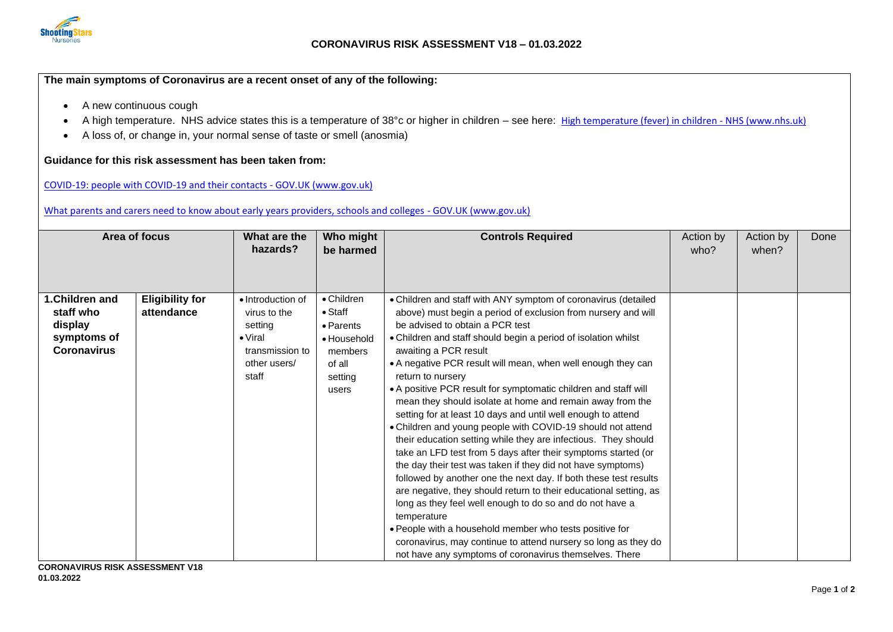

## **The main symptoms of Coronavirus are a recent onset of any of the following:**

- A new continuous cough
- A high temperature. NHS advice states this is a temperature of 38°c or higher in children see here: [High temperature \(fever\) in children -](https://www.nhs.uk/conditions/fever-in-children/) NHS (www.nhs.uk)
- A loss of, or change in, your normal sense of taste or smell (anosmia)

## **Guidance for this risk assessment has been taken from:**

[COVID-19: people with COVID-19 and their contacts -](https://www.gov.uk/government/publications/covid-19-people-with-covid-19-and-their-contacts/covid-19-people-with-covid-19-and-their-contacts) GOV.UK (www.gov.uk)

## [What parents and carers need to know about early years providers, schools and colleges -](https://www.gov.uk/government/publications/what-parents-and-carers-need-to-know-about-early-years-providers-schools-and-colleges-during-the-coronavirus-covid-19-outbreak/step-4-update-what-parents-and-carers-need-to-know-about-early-years-providers-schools-and-colleges#helping-make-nurseries-childminders-schools-and-colleges-as-safe-as-possible) GOV.UK (www.gov.uk)

| Area of focus                                                               |                                      | What are the<br>hazards?                                                                                    | Who might<br>be harmed                                                                             | <b>Controls Required</b>                                                                                                                                                                                                                                                                                                                                                                                                                                                                                                                                                                                                                                                                                                                                                                                                                                                                                                                                                                                                 | Action by<br>who? | Action by<br>when? | Done |
|-----------------------------------------------------------------------------|--------------------------------------|-------------------------------------------------------------------------------------------------------------|----------------------------------------------------------------------------------------------------|--------------------------------------------------------------------------------------------------------------------------------------------------------------------------------------------------------------------------------------------------------------------------------------------------------------------------------------------------------------------------------------------------------------------------------------------------------------------------------------------------------------------------------------------------------------------------------------------------------------------------------------------------------------------------------------------------------------------------------------------------------------------------------------------------------------------------------------------------------------------------------------------------------------------------------------------------------------------------------------------------------------------------|-------------------|--------------------|------|
| 1.Children and<br>staff who<br>display<br>symptoms of<br><b>Coronavirus</b> | <b>Eligibility for</b><br>attendance | • Introduction of<br>virus to the<br>setting<br>$\bullet$ Viral<br>transmission to<br>other users/<br>staff | • Children<br>$\bullet$ Staff<br>• Parents<br>• Household<br>members<br>of all<br>setting<br>users | • Children and staff with ANY symptom of coronavirus (detailed<br>above) must begin a period of exclusion from nursery and will<br>be advised to obtain a PCR test<br>• Children and staff should begin a period of isolation whilst<br>awaiting a PCR result<br>• A negative PCR result will mean, when well enough they can<br>return to nursery<br>• A positive PCR result for symptomatic children and staff will<br>mean they should isolate at home and remain away from the<br>setting for at least 10 days and until well enough to attend<br>• Children and young people with COVID-19 should not attend<br>their education setting while they are infectious. They should<br>take an LFD test from 5 days after their symptoms started (or<br>the day their test was taken if they did not have symptoms)<br>followed by another one the next day. If both these test results<br>are negative, they should return to their educational setting, as<br>long as they feel well enough to do so and do not have a |                   |                    |      |
|                                                                             |                                      |                                                                                                             |                                                                                                    | temperature<br>. People with a household member who tests positive for<br>coronavirus, may continue to attend nursery so long as they do<br>not have any symptoms of coronavirus themselves. There                                                                                                                                                                                                                                                                                                                                                                                                                                                                                                                                                                                                                                                                                                                                                                                                                       |                   |                    |      |